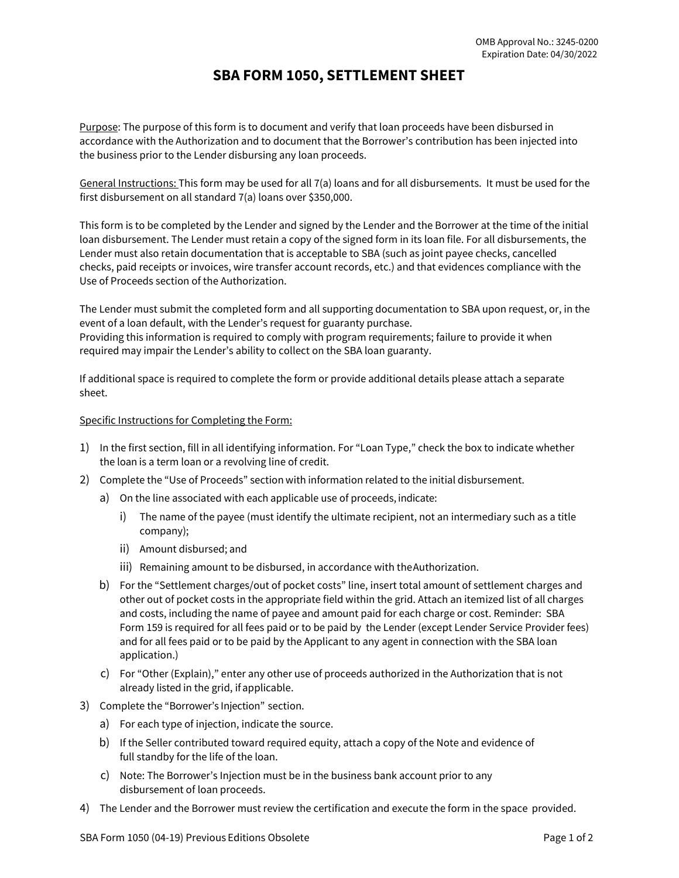## **SBA FORM 1050, SETTLEMENT SHEET**

 accordance with the Authorization and to document that the Borrower's contribution has been injected into Purpose: The purpose of this form is to document and verify that loan proceeds have been disbursed in the business prior to the Lender disbursing any loan proceeds.

first disbursement on all standard 7(a) loans over \$350,000. General Instructions: This form may be used for all 7(a) loans and for all disbursements. It must be used for the

 checks, paid receipts or invoices, wire transfer account records, etc.) and that evidences compliance with the Use of Proceeds section of the Authorization. This form is to be completed by the Lender and signed by the Lender and the Borrower at the time of the initial loan disbursement. The Lender must retain a copy of the signed form in its loan file. For all disbursements, the Lender must also retain documentation that is acceptable to SBA (such as joint payee checks, cancelled

 The Lender must submit the completed form and all supporting documentation to SBA upon request, or, in the event of a loan default, with the Lender's request for guaranty purchase.

Providing this information is required to comply with program requirements; failure to provide it when required may impair the Lender's ability to collect on the SBA loan guaranty.

If additional space is required to complete the form or provide additional details please attach a separate sheet.

## Specific Instructions for Completing the Form:

- 1) In the first section, fill in all identifying information. For "Loan Type," check the box to indicate whether the loan is a term loan or a revolving line of credit.
- 2) Complete the "Use of Proceeds" section with information related to the initial disbursement.
	- a) On the line associated with each applicable use of proceeds, indicate:
		- i) The name of the payee (must identify the ultimate recipient, not an intermediary such as a title company);
		- ii) Amount disbursed; and
		- iii) Remaining amount to be disbursed, in accordance with theAuthorization.
	- b) For the "Settlement charges/out of pocket costs" line, insert total amount of settlement charges and and costs, including the name of payee and amount paid for each charge or cost. Reminder: SBA other out of pocket costs in the appropriate field within the grid. Attach an itemized list of all charges Form 159 is required for all fees paid or to be paid by the Lender (except Lender Service Provider fees) and for all fees paid or to be paid by the Applicant to any agent in connection with the SBA loan application.)
	- already listed in the grid, if applicable. c) For "Other (Explain)," enter any other use of proceeds authorized in the Authorization that is not
- 3) Complete the "Borrower's Injection" section.
	- a) For each type of injection, indicate the source.
	- b) If the Seller contributed toward required equity, attach a copy of the Note and evidence of full standby for the life of the loan.
	- disbursement of loan proceeds. c) Note: The Borrower's Injection must be in the business bank account prior to any
- 4) The Lender and the Borrower must review the certification and execute the form in the space provided.